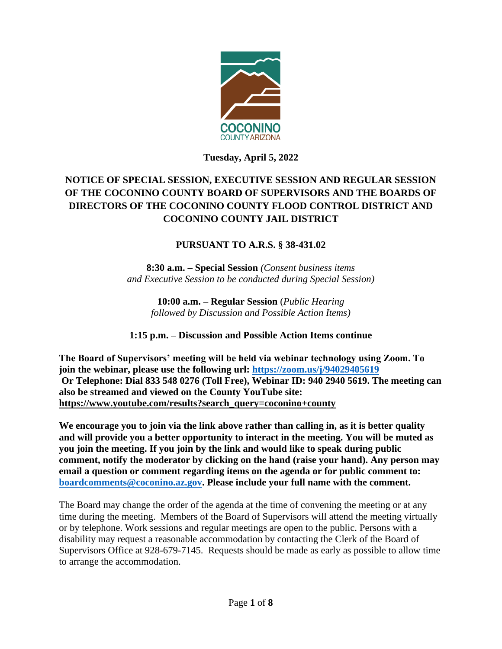

**Tuesday, April 5, 2022**

# **NOTICE OF SPECIAL SESSION, EXECUTIVE SESSION AND REGULAR SESSION OF THE COCONINO COUNTY BOARD OF SUPERVISORS AND THE BOARDS OF DIRECTORS OF THE COCONINO COUNTY FLOOD CONTROL DISTRICT AND COCONINO COUNTY JAIL DISTRICT**

# **PURSUANT TO A.R.S. § 38-431.02**

**8:30 a.m. – Special Session** *(Consent business items and Executive Session to be conducted during Special Session)*

**10:00 a.m. – Regular Session** (*Public Hearing followed by Discussion and Possible Action Items)*

# **1:15 p.m. – Discussion and Possible Action Items continue**

**The Board of Supervisors' meeting will be held via webinar technology using Zoom. To join the webinar, please use the following url: <https://zoom.us/j/94029405619> Or Telephone: Dial 833 548 0276 (Toll Free), Webinar ID: 940 2940 5619. The meeting can also be streamed and viewed on the County YouTube site: [https://www.youtube.com/results?search\\_query=coconino+county](https://www.youtube.com/results?search_query=coconino+county)**

**We encourage you to join via the link above rather than calling in, as it is better quality and will provide you a better opportunity to interact in the meeting. You will be muted as you join the meeting. If you join by the link and would like to speak during public comment, notify the moderator by clicking on the hand (raise your hand). Any person may email a question or comment regarding items on the agenda or for public comment to: [boardcomments@coconino.az.gov.](mailto:boardcomments@coconino.az.gov) Please include your full name with the comment.** 

The Board may change the order of the agenda at the time of convening the meeting or at any time during the meeting. Members of the Board of Supervisors will attend the meeting virtually or by telephone. Work sessions and regular meetings are open to the public. Persons with a disability may request a reasonable accommodation by contacting the Clerk of the Board of Supervisors Office at 928-679-7145. Requests should be made as early as possible to allow time to arrange the accommodation.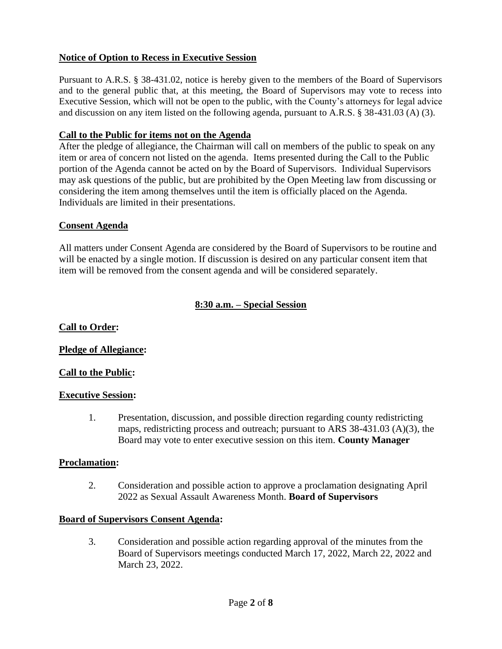# **Notice of Option to Recess in Executive Session**

Pursuant to A.R.S. § 38-431.02, notice is hereby given to the members of the Board of Supervisors and to the general public that, at this meeting, the Board of Supervisors may vote to recess into Executive Session, which will not be open to the public, with the County's attorneys for legal advice and discussion on any item listed on the following agenda, pursuant to A.R.S. § 38-431.03 (A) (3).

# **Call to the Public for items not on the Agenda**

After the pledge of allegiance, the Chairman will call on members of the public to speak on any item or area of concern not listed on the agenda. Items presented during the Call to the Public portion of the Agenda cannot be acted on by the Board of Supervisors. Individual Supervisors may ask questions of the public, but are prohibited by the Open Meeting law from discussing or considering the item among themselves until the item is officially placed on the Agenda. Individuals are limited in their presentations.

# **Consent Agenda**

All matters under Consent Agenda are considered by the Board of Supervisors to be routine and will be enacted by a single motion. If discussion is desired on any particular consent item that item will be removed from the consent agenda and will be considered separately.

# **8:30 a.m. – Special Session**

# **Call to Order:**

# **Pledge of Allegiance:**

# **Call to the Public:**

# **Executive Session:**

1. Presentation, discussion, and possible direction regarding county redistricting maps, redistricting process and outreach; pursuant to ARS 38-431.03 (A)(3), the Board may vote to enter executive session on this item. **County Manager**

# **Proclamation:**

2. Consideration and possible action to approve a proclamation designating April 2022 as Sexual Assault Awareness Month. **Board of Supervisors**

# **Board of Supervisors Consent Agenda:**

3. Consideration and possible action regarding approval of the minutes from the Board of Supervisors meetings conducted March 17, 2022, March 22, 2022 and March 23, 2022.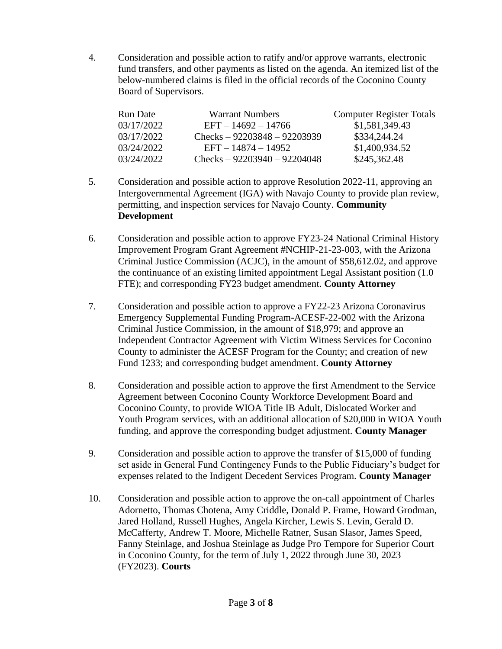4. Consideration and possible action to ratify and/or approve warrants, electronic fund transfers, and other payments as listed on the agenda. An itemized list of the below-numbered claims is filed in the official records of the Coconino County Board of Supervisors.

| <b>Run Date</b> | <b>Warrant Numbers</b>        | <b>Computer Register Totals</b> |
|-----------------|-------------------------------|---------------------------------|
| 03/17/2022      | $EFT - 14692 - 14766$         | \$1,581,349.43                  |
| 03/17/2022      | Checks $-92203848 - 92203939$ | \$334,244.24                    |
| 03/24/2022      | $EFT - 14874 - 14952$         | \$1,400,934.52                  |
| 03/24/2022      | Checks $-92203940 - 92204048$ | \$245,362.48                    |

- 5. Consideration and possible action to approve Resolution 2022-11, approving an Intergovernmental Agreement (IGA) with Navajo County to provide plan review, permitting, and inspection services for Navajo County. **Community Development**
- 6. Consideration and possible action to approve FY23-24 National Criminal History Improvement Program Grant Agreement #NCHIP-21-23-003, with the Arizona Criminal Justice Commission (ACJC), in the amount of \$58,612.02, and approve the continuance of an existing limited appointment Legal Assistant position (1.0 FTE); and corresponding FY23 budget amendment. **County Attorney**
- 7. Consideration and possible action to approve a FY22-23 Arizona Coronavirus Emergency Supplemental Funding Program-ACESF-22-002 with the Arizona Criminal Justice Commission, in the amount of \$18,979; and approve an Independent Contractor Agreement with Victim Witness Services for Coconino County to administer the ACESF Program for the County; and creation of new Fund 1233; and corresponding budget amendment. **County Attorney**
- 8. Consideration and possible action to approve the first Amendment to the Service Agreement between Coconino County Workforce Development Board and Coconino County, to provide WIOA Title IB Adult, Dislocated Worker and Youth Program services, with an additional allocation of \$20,000 in WIOA Youth funding, and approve the corresponding budget adjustment. **County Manager**
- 9. Consideration and possible action to approve the transfer of \$15,000 of funding set aside in General Fund Contingency Funds to the Public Fiduciary's budget for expenses related to the Indigent Decedent Services Program. **County Manager**
- 10. Consideration and possible action to approve the on-call appointment of Charles Adornetto, Thomas Chotena, Amy Criddle, Donald P. Frame, Howard Grodman, Jared Holland, Russell Hughes, Angela Kircher, Lewis S. Levin, Gerald D. McCafferty, Andrew T. Moore, Michelle Ratner, Susan Slasor, James Speed, Fanny Steinlage, and Joshua Steinlage as Judge Pro Tempore for Superior Court in Coconino County, for the term of July 1, 2022 through June 30, 2023 (FY2023). **Courts**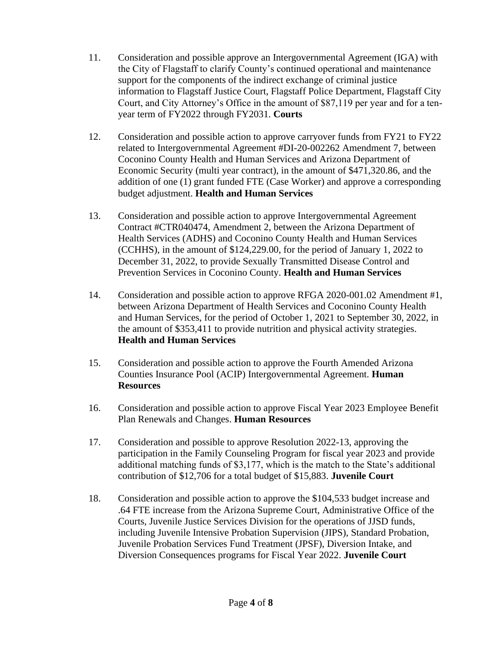- 11. Consideration and possible approve an Intergovernmental Agreement (IGA) with the City of Flagstaff to clarify County's continued operational and maintenance support for the components of the indirect exchange of criminal justice information to Flagstaff Justice Court, Flagstaff Police Department, Flagstaff City Court, and City Attorney's Office in the amount of \$87,119 per year and for a tenyear term of FY2022 through FY2031. **Courts**
- 12. Consideration and possible action to approve carryover funds from FY21 to FY22 related to Intergovernmental Agreement #DI-20-002262 Amendment 7, between Coconino County Health and Human Services and Arizona Department of Economic Security (multi year contract), in the amount of \$471,320.86, and the addition of one (1) grant funded FTE (Case Worker) and approve a corresponding budget adjustment. **Health and Human Services**
- 13. Consideration and possible action to approve Intergovernmental Agreement Contract #CTR040474, Amendment 2, between the Arizona Department of Health Services (ADHS) and Coconino County Health and Human Services (CCHHS), in the amount of \$124,229.00, for the period of January 1, 2022 to December 31, 2022, to provide Sexually Transmitted Disease Control and Prevention Services in Coconino County. **Health and Human Services**
- 14. Consideration and possible action to approve RFGA 2020-001.02 Amendment #1, between Arizona Department of Health Services and Coconino County Health and Human Services, for the period of October 1, 2021 to September 30, 2022, in the amount of \$353,411 to provide nutrition and physical activity strategies. **Health and Human Services**
- 15. Consideration and possible action to approve the Fourth Amended Arizona Counties Insurance Pool (ACIP) Intergovernmental Agreement. **Human Resources**
- 16. Consideration and possible action to approve Fiscal Year 2023 Employee Benefit Plan Renewals and Changes. **Human Resources**
- 17. Consideration and possible to approve Resolution 2022-13, approving the participation in the Family Counseling Program for fiscal year 2023 and provide additional matching funds of \$3,177, which is the match to the State's additional contribution of \$12,706 for a total budget of \$15,883. **Juvenile Court**
- 18. Consideration and possible action to approve the \$104,533 budget increase and .64 FTE increase from the Arizona Supreme Court, Administrative Office of the Courts, Juvenile Justice Services Division for the operations of JJSD funds, including Juvenile Intensive Probation Supervision (JIPS), Standard Probation, Juvenile Probation Services Fund Treatment (JPSF), Diversion Intake, and Diversion Consequences programs for Fiscal Year 2022. **Juvenile Court**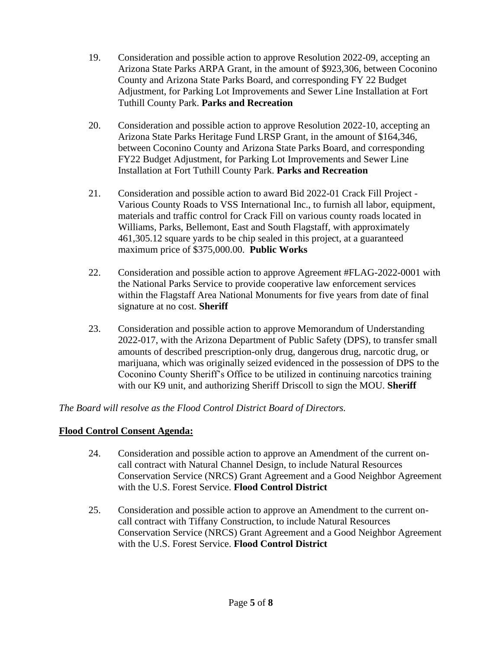- 19. Consideration and possible action to approve Resolution 2022-09, accepting an Arizona State Parks ARPA Grant, in the amount of \$923,306, between Coconino County and Arizona State Parks Board, and corresponding FY 22 Budget Adjustment, for Parking Lot Improvements and Sewer Line Installation at Fort Tuthill County Park. **Parks and Recreation**
- 20. Consideration and possible action to approve Resolution 2022-10, accepting an Arizona State Parks Heritage Fund LRSP Grant, in the amount of \$164,346, between Coconino County and Arizona State Parks Board, and corresponding FY22 Budget Adjustment, for Parking Lot Improvements and Sewer Line Installation at Fort Tuthill County Park. **Parks and Recreation**
- 21. Consideration and possible action to award Bid 2022-01 Crack Fill Project Various County Roads to VSS International Inc., to furnish all labor, equipment, materials and traffic control for Crack Fill on various county roads located in Williams, Parks, Bellemont, East and South Flagstaff, with approximately 461,305.12 square yards to be chip sealed in this project, at a guaranteed maximum price of \$375,000.00. **Public Works**
- 22. Consideration and possible action to approve Agreement #FLAG-2022-0001 with the National Parks Service to provide cooperative law enforcement services within the Flagstaff Area National Monuments for five years from date of final signature at no cost. **Sheriff**
- 23. Consideration and possible action to approve Memorandum of Understanding 2022-017, with the Arizona Department of Public Safety (DPS), to transfer small amounts of described prescription-only drug, dangerous drug, narcotic drug, or marijuana, which was originally seized evidenced in the possession of DPS to the Coconino County Sheriff's Office to be utilized in continuing narcotics training with our K9 unit, and authorizing Sheriff Driscoll to sign the MOU. **Sheriff**

*The Board will resolve as the Flood Control District Board of Directors.*

# **Flood Control Consent Agenda:**

- 24. Consideration and possible action to approve an Amendment of the current oncall contract with Natural Channel Design, to include Natural Resources Conservation Service (NRCS) Grant Agreement and a Good Neighbor Agreement with the U.S. Forest Service. **Flood Control District**
- 25. Consideration and possible action to approve an Amendment to the current oncall contract with Tiffany Construction, to include Natural Resources Conservation Service (NRCS) Grant Agreement and a Good Neighbor Agreement with the U.S. Forest Service. **Flood Control District**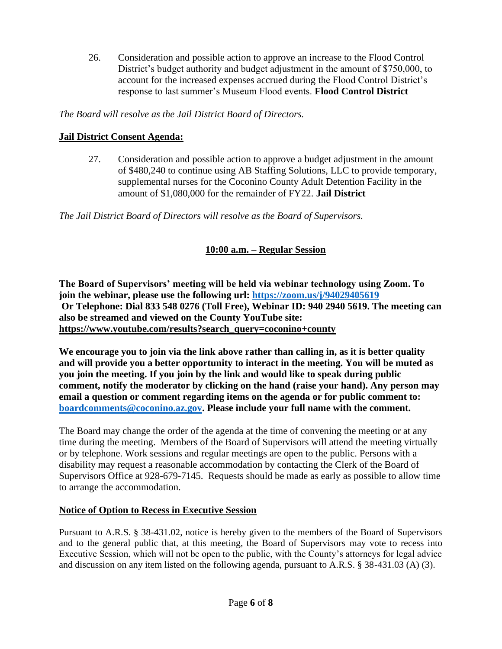26. Consideration and possible action to approve an increase to the Flood Control District's budget authority and budget adjustment in the amount of \$750,000, to account for the increased expenses accrued during the Flood Control District's response to last summer's Museum Flood events. **Flood Control District**

*The Board will resolve as the Jail District Board of Directors.*

# **Jail District Consent Agenda:**

27. Consideration and possible action to approve a budget adjustment in the amount of \$480,240 to continue using AB Staffing Solutions, LLC to provide temporary, supplemental nurses for the Coconino County Adult Detention Facility in the amount of \$1,080,000 for the remainder of FY22. **Jail District**

*The Jail District Board of Directors will resolve as the Board of Supervisors.*

# **10:00 a.m. – Regular Session**

**The Board of Supervisors' meeting will be held via webinar technology using Zoom. To join the webinar, please use the following url: <https://zoom.us/j/94029405619> Or Telephone: Dial 833 548 0276 (Toll Free), Webinar ID: 940 2940 5619. The meeting can also be streamed and viewed on the County YouTube site: [https://www.youtube.com/results?search\\_query=coconino+county](https://www.youtube.com/results?search_query=coconino+county)**

**We encourage you to join via the link above rather than calling in, as it is better quality and will provide you a better opportunity to interact in the meeting. You will be muted as you join the meeting. If you join by the link and would like to speak during public comment, notify the moderator by clicking on the hand (raise your hand). Any person may email a question or comment regarding items on the agenda or for public comment to: [boardcomments@coconino.az.gov.](mailto:boardcomments@coconino.az.gov) Please include your full name with the comment.** 

The Board may change the order of the agenda at the time of convening the meeting or at any time during the meeting. Members of the Board of Supervisors will attend the meeting virtually or by telephone. Work sessions and regular meetings are open to the public. Persons with a disability may request a reasonable accommodation by contacting the Clerk of the Board of Supervisors Office at 928-679-7145. Requests should be made as early as possible to allow time to arrange the accommodation.

# **Notice of Option to Recess in Executive Session**

Pursuant to A.R.S. § 38-431.02, notice is hereby given to the members of the Board of Supervisors and to the general public that, at this meeting, the Board of Supervisors may vote to recess into Executive Session, which will not be open to the public, with the County's attorneys for legal advice and discussion on any item listed on the following agenda, pursuant to A.R.S. § 38-431.03 (A) (3).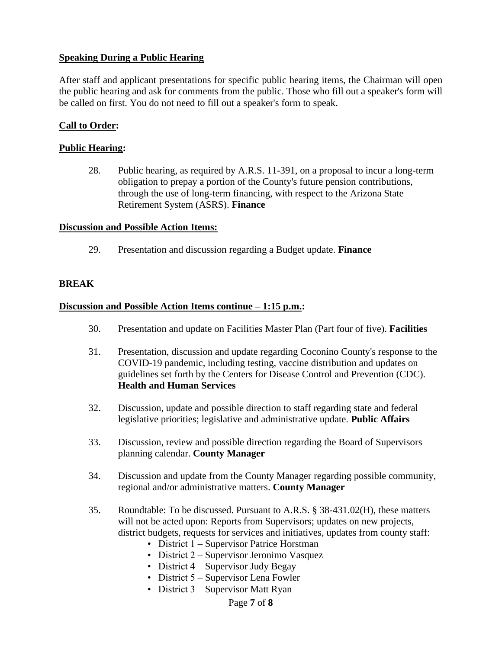# **Speaking During a Public Hearing**

After staff and applicant presentations for specific public hearing items, the Chairman will open the public hearing and ask for comments from the public. Those who fill out a speaker's form will be called on first. You do not need to fill out a speaker's form to speak.

# **Call to Order:**

# **Public Hearing:**

28. Public hearing, as required by A.R.S. 11-391, on a proposal to incur a long-term obligation to prepay a portion of the County's future pension contributions, through the use of long-term financing, with respect to the Arizona State Retirement System (ASRS). **Finance**

# **Discussion and Possible Action Items:**

29. Presentation and discussion regarding a Budget update. **Finance**

# **BREAK**

#### **Discussion and Possible Action Items continue – 1:15 p.m.:**

- 30. Presentation and update on Facilities Master Plan (Part four of five). **Facilities**
- 31. Presentation, discussion and update regarding Coconino County's response to the COVID-19 pandemic, including testing, vaccine distribution and updates on guidelines set forth by the Centers for Disease Control and Prevention (CDC). **Health and Human Services**
- 32. Discussion, update and possible direction to staff regarding state and federal legislative priorities; legislative and administrative update. **Public Affairs**
- 33. Discussion, review and possible direction regarding the Board of Supervisors planning calendar. **County Manager**
- 34. Discussion and update from the County Manager regarding possible community, regional and/or administrative matters. **County Manager**
- 35. Roundtable: To be discussed. Pursuant to A.R.S. § 38-431.02(H), these matters will not be acted upon: Reports from Supervisors; updates on new projects, district budgets, requests for services and initiatives, updates from county staff:
	- District 1 Supervisor Patrice Horstman
	- District 2 Supervisor Jeronimo Vasquez
	- District 4 Supervisor Judy Begay
	- District 5 Supervisor Lena Fowler
	- District 3 Supervisor Matt Ryan